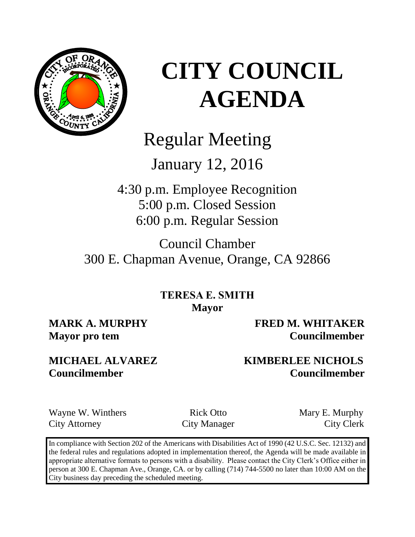

## Regular Meeting

## January 12, 2016

4:30 p.m. Employee Recognition 5:00 p.m. Closed Session 6:00 p.m. Regular Session

Council Chamber 300 E. Chapman Avenue, Orange, CA 92866

> **TERESA E. SMITH Mayor**

**MARK A. MURPHY FRED M. WHITAKER Mayor pro tem Councilmember** 

### **MICHAEL ALVAREZ KIMBERLEE NICHOLS Councilmember Councilmember**

Wayne W. Winthers Rick Otto Mary E. Murphy City Attorney City Manager City Clerk

In compliance with Section 202 of the Americans with Disabilities Act of 1990 (42 U.S.C. Sec. 12132) and the federal rules and regulations adopted in implementation thereof, the Agenda will be made available in appropriate alternative formats to persons with a disability. Please contact the City Clerk's Office either in person at 300 E. Chapman Ave., Orange, CA. or by calling (714) 744-5500 no later than 10:00 AM on the City business day preceding the scheduled meeting.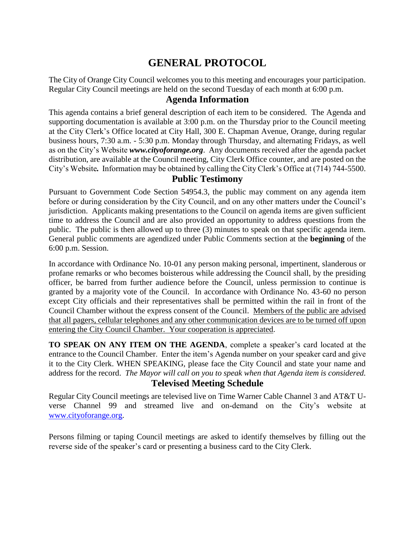### **GENERAL PROTOCOL**

The City of Orange City Council welcomes you to this meeting and encourages your participation. Regular City Council meetings are held on the second Tuesday of each month at 6:00 p.m.

#### **Agenda Information**

This agenda contains a brief general description of each item to be considered. The Agenda and supporting documentation is available at 3:00 p.m. on the Thursday prior to the Council meeting at the City Clerk's Office located at City Hall, 300 E. Chapman Avenue, Orange, during regular business hours, 7:30 a.m. - 5:30 p.m. Monday through Thursday, and alternating Fridays, as well as on the City's Website *www.cityoforange.org*. Any documents received after the agenda packet distribution, are available at the Council meeting, City Clerk Office counter, and are posted on the City's Website*.* Information may be obtained by calling the City Clerk's Office at (714) 744-5500.

#### **Public Testimony**

Pursuant to Government Code Section 54954.3, the public may comment on any agenda item before or during consideration by the City Council, and on any other matters under the Council's jurisdiction. Applicants making presentations to the Council on agenda items are given sufficient time to address the Council and are also provided an opportunity to address questions from the public. The public is then allowed up to three (3) minutes to speak on that specific agenda item. General public comments are agendized under Public Comments section at the **beginning** of the 6:00 p.m. Session.

In accordance with Ordinance No. 10-01 any person making personal, impertinent, slanderous or profane remarks or who becomes boisterous while addressing the Council shall, by the presiding officer, be barred from further audience before the Council, unless permission to continue is granted by a majority vote of the Council. In accordance with Ordinance No. 43-60 no person except City officials and their representatives shall be permitted within the rail in front of the Council Chamber without the express consent of the Council. Members of the public are advised that all pagers, cellular telephones and any other communication devices are to be turned off upon entering the City Council Chamber. Your cooperation is appreciated.

**TO SPEAK ON ANY ITEM ON THE AGENDA**, complete a speaker's card located at the entrance to the Council Chamber. Enter the item's Agenda number on your speaker card and give it to the City Clerk. WHEN SPEAKING, please face the City Council and state your name and address for the record. *The Mayor will call on you to speak when that Agenda item is considered.* **Televised Meeting Schedule**

Regular City Council meetings are televised live on Time Warner Cable Channel 3 and AT&T Uverse Channel 99 and streamed live and on-demand on the City's website at [www.cityoforange.org.](http://www.cityoforange.org/)

Persons filming or taping Council meetings are asked to identify themselves by filling out the reverse side of the speaker's card or presenting a business card to the City Clerk.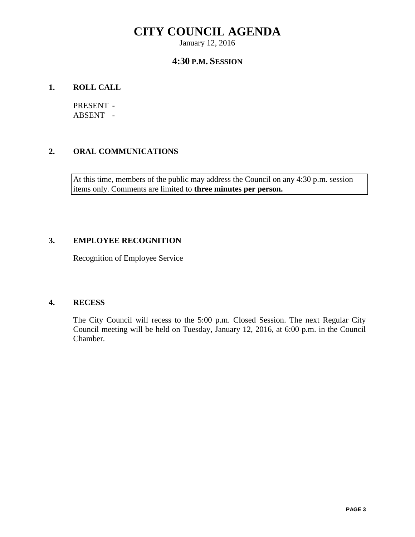January 12, 2016

#### **4:30 P.M. SESSION**

#### **1. ROLL CALL**

PRESENT - ABSENT -

#### **2. ORAL COMMUNICATIONS**

At this time, members of the public may address the Council on any 4:30 p.m. session items only. Comments are limited to **three minutes per person.**

#### **3. EMPLOYEE RECOGNITION**

Recognition of Employee Service

#### **4. RECESS**

The City Council will recess to the 5:00 p.m. Closed Session. The next Regular City Council meeting will be held on Tuesday, January 12, 2016, at 6:00 p.m. in the Council Chamber.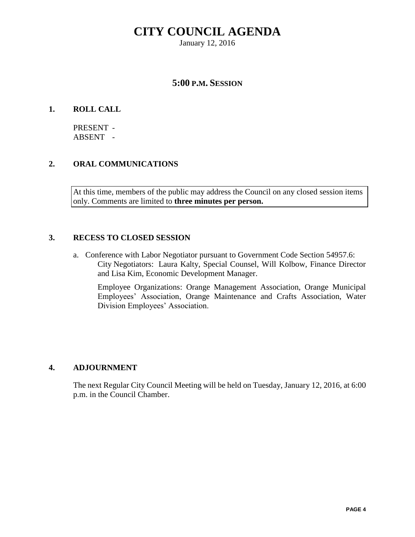January 12, 2016

#### **5:00 P.M. SESSION**

#### **1. ROLL CALL**

PRESENT - ABSENT -

#### **2. ORAL COMMUNICATIONS**

At this time, members of the public may address the Council on any closed session items only. Comments are limited to **three minutes per person.**

#### **3. RECESS TO CLOSED SESSION**

a. Conference with Labor Negotiator pursuant to Government Code Section 54957.6: City Negotiators: Laura Kalty, Special Counsel, Will Kolbow, Finance Director and Lisa Kim, Economic Development Manager.

Employee Organizations: Orange Management Association, Orange Municipal Employees' Association, Orange Maintenance and Crafts Association, Water Division Employees' Association.

#### **4. ADJOURNMENT**

The next Regular City Council Meeting will be held on Tuesday, January 12, 2016, at 6:00 p.m. in the Council Chamber.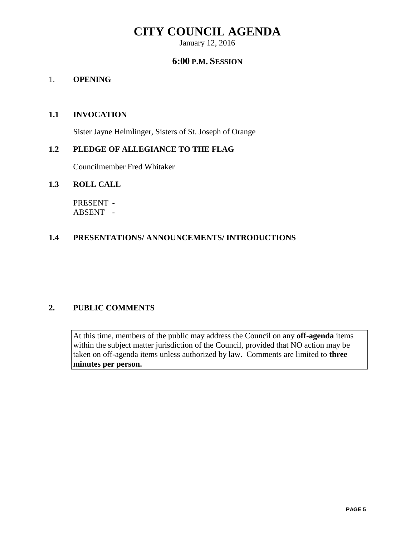January 12, 2016

#### **6:00 P.M. SESSION**

#### 1. **OPENING**

#### **1.1 INVOCATION**

Sister Jayne Helmlinger, Sisters of St. Joseph of Orange

#### **1.2 PLEDGE OF ALLEGIANCE TO THE FLAG**

Councilmember Fred Whitaker

#### **1.3 ROLL CALL**

PRESENT - ABSENT -

#### **1.4 PRESENTATIONS/ ANNOUNCEMENTS/ INTRODUCTIONS**

#### **2. PUBLIC COMMENTS**

At this time, members of the public may address the Council on any **off-agenda** items within the subject matter jurisdiction of the Council, provided that NO action may be taken on off-agenda items unless authorized by law. Comments are limited to **three minutes per person.**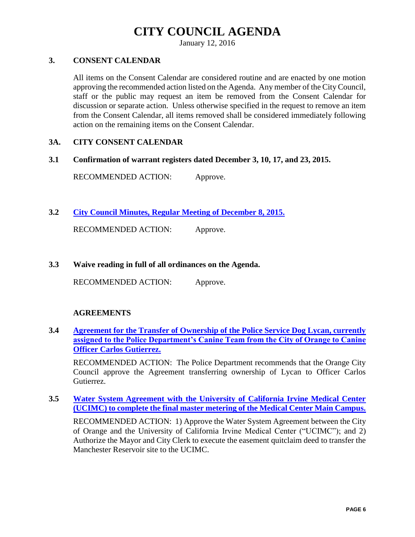January 12, 2016

#### **3. CONSENT CALENDAR**

All items on the Consent Calendar are considered routine and are enacted by one motion approving the recommended action listed on the Agenda. Any member of the City Council, staff or the public may request an item be removed from the Consent Calendar for discussion or separate action. Unless otherwise specified in the request to remove an item from the Consent Calendar, all items removed shall be considered immediately following action on the remaining items on the Consent Calendar.

#### **3A. CITY CONSENT CALENDAR**

**3.1 Confirmation of warrant registers dated December 3, 10, 17, and 23, 2015.**

RECOMMENDED ACTION: Approve.

**3.2 [City Council Minutes, Regular Meeting of December 8, 2015.](http://citydocs.cityoforange.org/WebLink8/DocView.aspx?id=243680180&dbid=0)**

RECOMMENDED ACTION: Approve.

**3.3 Waive reading in full of all ordinances on the Agenda.** 

RECOMMENDED ACTION: Approve.

#### **AGREEMENTS**

**3.4 [Agreement for the Transfer of Ownership of the Police Service Dog Lycan, currently](http://citydocs.cityoforange.org/WebLink8/DocView.aspx?id=243680181&dbid=0)  [assigned to the Police Department's Canine Team from the City of Orange to Canine](http://citydocs.cityoforange.org/WebLink8/DocView.aspx?id=243680181&dbid=0)  [Officer Carlos Gutierrez.](http://citydocs.cityoforange.org/WebLink8/DocView.aspx?id=243680181&dbid=0)**

RECOMMENDED ACTION: The Police Department recommends that the Orange City Council approve the Agreement transferring ownership of Lycan to Officer Carlos Gutierrez.

**3.5 [Water System Agreement with the University of California Irvine Medical Center](http://citydocs.cityoforange.org/WebLink8/DocView.aspx?id=243680186&dbid=0)  [\(UCIMC\) to complete the final master metering of the Medical Center Main Campus.](http://citydocs.cityoforange.org/WebLink8/DocView.aspx?id=243680186&dbid=0)**

RECOMMENDED ACTION: 1) Approve the Water System Agreement between the City of Orange and the University of California Irvine Medical Center ("UCIMC"); and 2) Authorize the Mayor and City Clerk to execute the easement quitclaim deed to transfer the Manchester Reservoir site to the UCIMC.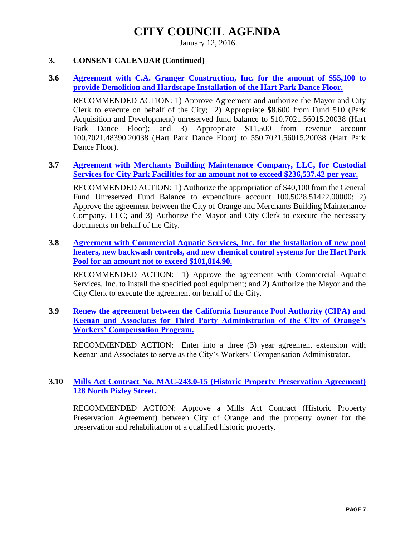January 12, 2016

#### **3. CONSENT CALENDAR (Continued)**

#### **3.6 [Agreement with C.A. Granger Construction,](http://citydocs.cityoforange.org/WebLink8/DocView.aspx?id=243680189&dbid=0) Inc. for the amount of \$55,100 to [provide Demolition and Hardscape Installation of the Hart Park Dance Floor.](http://citydocs.cityoforange.org/WebLink8/DocView.aspx?id=243680189&dbid=0)**

RECOMMENDED ACTION: 1) Approve Agreement and authorize the Mayor and City Clerk to execute on behalf of the City; 2) Appropriate \$8,600 from Fund 510 (Park Acquisition and Development) unreserved fund balance to 510.7021.56015.20038 (Hart Park Dance Floor); and 3) Appropriate \$11,500 from revenue account 100.7021.48390.20038 (Hart Park Dance Floor) to 550.7021.56015.20038 (Hart Park Dance Floor).

#### **3.7 [Agreement with Merchants Building Maintenance Company, LLC, for Custodial](http://citydocs.cityoforange.org/WebLink8/DocView.aspx?id=243680192&dbid=0)  [Services for City Park Facilities for an amount not to exceed \\$236,537.42](http://citydocs.cityoforange.org/WebLink8/DocView.aspx?id=243680192&dbid=0) per year.**

RECOMMENDED ACTION: 1) Authorize the appropriation of \$40,100 from the General Fund Unreserved Fund Balance to expenditure account 100.5028.51422.00000; 2) Approve the agreement between the City of Orange and Merchants Building Maintenance Company, LLC; and 3) Authorize the Mayor and City Clerk to execute the necessary documents on behalf of the City.

#### **3.8 [Agreement with Commercial Aquatic Services, Inc. for the installation of new pool](http://citydocs.cityoforange.org/WebLink8/DocView.aspx?id=243680193&dbid=0)  [heaters, new backwash controls, and new chemical control systems for the Hart Park](http://citydocs.cityoforange.org/WebLink8/DocView.aspx?id=243680193&dbid=0)  [Pool for an amount not to exceed \\$101,814.90.](http://citydocs.cityoforange.org/WebLink8/DocView.aspx?id=243680193&dbid=0)**

RECOMMENDED ACTION: 1) Approve the agreement with Commercial Aquatic Services, Inc. to install the specified pool equipment; and 2) Authorize the Mayor and the City Clerk to execute the agreement on behalf of the City.

#### **3.9 [Renew the agreement between the California Insurance Pool Authority \(CIPA\) and](http://citydocs.cityoforange.org/WebLink8/DocView.aspx?id=243680194&dbid=0)  [Keenan and Associates for Third Party Administration of the City of Orange's](http://citydocs.cityoforange.org/WebLink8/DocView.aspx?id=243680194&dbid=0)  [Workers' Compensation Program.](http://citydocs.cityoforange.org/WebLink8/DocView.aspx?id=243680194&dbid=0)**

RECOMMENDED ACTION: Enter into a three (3) year agreement extension with Keenan and Associates to serve as the City's Workers' Compensation Administrator.

#### **3.10 [Mills Act Contract No. MAC-243.0-15 \(Historic Property Preservation Agreement\)](http://citydocs.cityoforange.org/WebLink8/DocView.aspx?id=243680195&dbid=0)  [128 North Pixley Street.](http://citydocs.cityoforange.org/WebLink8/DocView.aspx?id=243680195&dbid=0)**

RECOMMENDED ACTION: Approve a Mills Act Contract (Historic Property Preservation Agreement) between City of Orange and the property owner for the preservation and rehabilitation of a qualified historic property.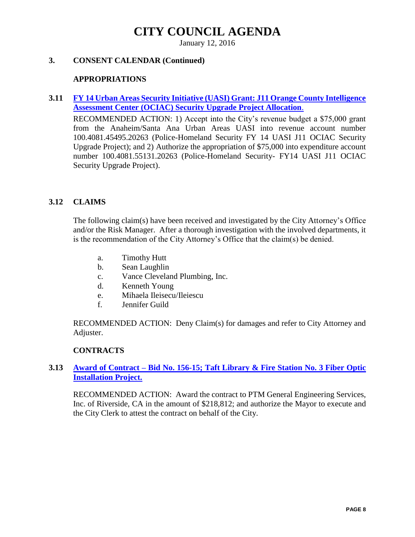January 12, 2016

#### **3. CONSENT CALENDAR (Continued)**

#### **APPROPRIATIONS**

#### **3.11 [FY 14 Urban Areas Security Initiative \(UASI\) Grant: J11 Orange County Intelligence](http://citydocs.cityoforange.org/WebLink8/DocView.aspx?id=243680196&dbid=0)  [Assessment Center \(OCIAC\) Security Upgrade Project Allocation](http://citydocs.cityoforange.org/WebLink8/DocView.aspx?id=243680196&dbid=0)**.

RECOMMENDED ACTION: 1) Accept into the City's revenue budget a \$75,000 grant from the Anaheim/Santa Ana Urban Areas UASI into revenue account number 100.4081.45495.20263 (Police-Homeland Security FY 14 UASI J11 OCIAC Security Upgrade Project); and 2) Authorize the appropriation of \$75,000 into expenditure account number 100.4081.55131.20263 (Police-Homeland Security- FY14 UASI J11 OCIAC Security Upgrade Project).

#### **3.12 CLAIMS**

The following claim(s) have been received and investigated by the City Attorney's Office and/or the Risk Manager. After a thorough investigation with the involved departments, it is the recommendation of the City Attorney's Office that the claim(s) be denied.

- a. Timothy Hutt
- b. Sean Laughlin
- c. Vance Cleveland Plumbing, Inc.
- d. Kenneth Young
- e. Mihaela Ileisecu/Ileiescu
- f. Jennifer Guild

RECOMMENDED ACTION: Deny Claim(s) for damages and refer to City Attorney and Adjuster.

#### **CONTRACTS**

#### **3.13 Award of Contract – [Bid No. 156-15; Taft Library & Fire Station No. 3 Fiber Optic](http://citydocs.cityoforange.org/WebLink8/DocView.aspx?id=243680198&dbid=0)  [Installation Project.](http://citydocs.cityoforange.org/WebLink8/DocView.aspx?id=243680198&dbid=0)**

RECOMMENDED ACTION: Award the contract to PTM General Engineering Services, Inc. of Riverside, CA in the amount of \$218,812; and authorize the Mayor to execute and the City Clerk to attest the contract on behalf of the City.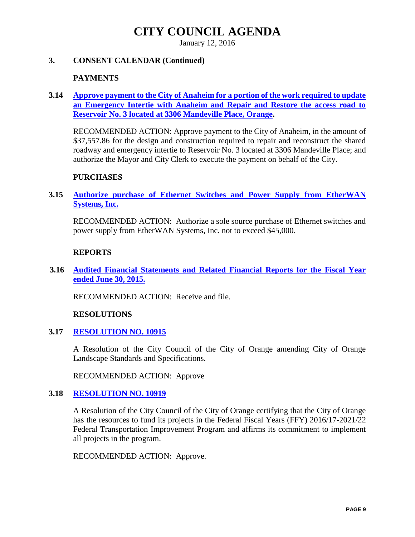January 12, 2016

#### **3. CONSENT CALENDAR (Continued)**

#### **PAYMENTS**

**3.14 [Approve payment to the City of Anaheim for a portion of the work required to update](http://citydocs.cityoforange.org/WebLink8/DocView.aspx?id=243680203&dbid=0)  [an Emergency Intertie with Anaheim and Repair and Restore the access road to](http://citydocs.cityoforange.org/WebLink8/DocView.aspx?id=243680203&dbid=0)  [Reservoir No. 3 located at 3306 Mandeville Place, Orange.](http://citydocs.cityoforange.org/WebLink8/DocView.aspx?id=243680203&dbid=0)**

RECOMMENDED ACTION: Approve payment to the City of Anaheim, in the amount of \$37,557.86 for the design and construction required to repair and reconstruct the shared roadway and emergency intertie to Reservoir No. 3 located at 3306 Mandeville Place; and authorize the Mayor and City Clerk to execute the payment on behalf of the City.

#### **PURCHASES**

#### **3.15 [Authorize purchase of Ethernet Switches and Power Supply from EtherWAN](http://citydocs.cityoforange.org/WebLink8/DocView.aspx?id=243680204&dbid=0)  [Systems, Inc.](http://citydocs.cityoforange.org/WebLink8/DocView.aspx?id=243680204&dbid=0)**

RECOMMENDED ACTION: Authorize a sole source purchase of Ethernet switches and power supply from EtherWAN Systems, Inc. not to exceed \$45,000.

#### **REPORTS**

**3.16 [Audited Financial Statements and Related Financial Reports for the Fiscal Year](http://citydocs.cityoforange.org/WebLink8/DocView.aspx?id=243680206&dbid=0)  [ended June 30, 2015.](http://citydocs.cityoforange.org/WebLink8/DocView.aspx?id=243680206&dbid=0)**

RECOMMENDED ACTION: Receive and file.

#### **RESOLUTIONS**

**3.17 [RESOLUTION NO. 10915](http://citydocs.cityoforange.org/WebLink8/DocView.aspx?id=243680209&dbid=0)**

A Resolution of the City Council of the City of Orange amending City of Orange Landscape Standards and Specifications.

RECOMMENDED ACTION: Approve

#### **3.18 [RESOLUTION NO. 10919](http://citydocs.cityoforange.org/WebLink8/DocView.aspx?id=243680211&dbid=0)**

A Resolution of the City Council of the City of Orange certifying that the City of Orange has the resources to fund its projects in the Federal Fiscal Years (FFY) 2016/17-2021/22 Federal Transportation Improvement Program and affirms its commitment to implement all projects in the program.

RECOMMENDED ACTION: Approve.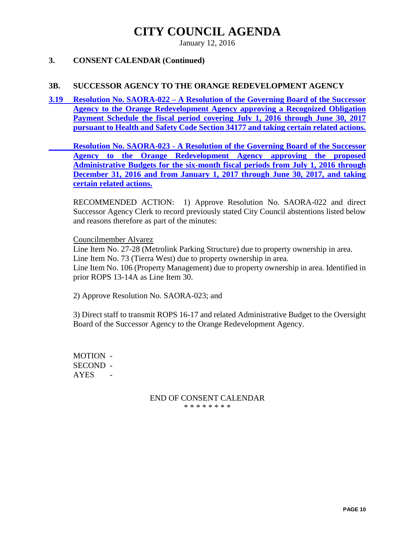January 12, 2016

#### **3. CONSENT CALENDAR (Continued)**

#### **3B. SUCCESSOR AGENCY TO THE ORANGE REDEVELOPMENT AGENCY**

**3.19 Resolution No. SAORA-022 – [A Resolution of the Governing Board of the Successor](http://citydocs.cityoforange.org/WebLink8/DocView.aspx?id=243680212&dbid=0)  [Agency to the Orange Redevelopment Agency approving a](http://citydocs.cityoforange.org/WebLink8/DocView.aspx?id=243680212&dbid=0) Recognized Obligation [Payment Schedule the fiscal period covering July 1, 2016 through June 30, 2017](http://citydocs.cityoforange.org/WebLink8/DocView.aspx?id=243680212&dbid=0)  pursuant to Health and Safety Code [Section 34177 and taking certain related actions.](http://citydocs.cityoforange.org/WebLink8/DocView.aspx?id=243680212&dbid=0)**

**Resolution No. SAORA-023 - [A Resolution of the Governing Board of the Successor](http://citydocs.cityoforange.org/WebLink8/DocView.aspx?id=243680212&dbid=0)  [Agency to the Orange Redevelopment Agency approving the proposed](http://citydocs.cityoforange.org/WebLink8/DocView.aspx?id=243680212&dbid=0)  [Administrative Budgets for the six-month fiscal periods from](http://citydocs.cityoforange.org/WebLink8/DocView.aspx?id=243680212&dbid=0) July 1, 2016 through [December 31, 2016 and from January 1, 2017 through June 30, 2017, and taking](http://citydocs.cityoforange.org/WebLink8/DocView.aspx?id=243680212&dbid=0)  [certain related actions.](http://citydocs.cityoforange.org/WebLink8/DocView.aspx?id=243680212&dbid=0)**

RECOMMENDED ACTION: 1) Approve Resolution No. SAORA-022 and direct Successor Agency Clerk to record previously stated City Council abstentions listed below and reasons therefore as part of the minutes:

Councilmember Alvarez

Line Item No. 27-28 (Metrolink Parking Structure) due to property ownership in area. Line Item No. 73 (Tierra West) due to property ownership in area.

Line Item No. 106 (Property Management) due to property ownership in area. Identified in prior ROPS 13-14A as Line Item 30.

2) Approve Resolution No. SAORA-023; and

3) Direct staff to transmit ROPS 16-17 and related Administrative Budget to the Oversight Board of the Successor Agency to the Orange Redevelopment Agency.

MOTION - SECOND - **AYES** 

#### END OF CONSENT CALENDAR \* \* \* \* \* \* \* \*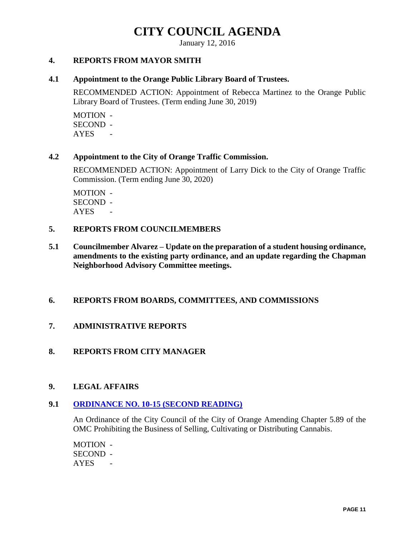January 12, 2016

#### **4. REPORTS FROM MAYOR SMITH**

#### **4.1 Appointment to the Orange Public Library Board of Trustees.**

RECOMMENDED ACTION: Appointment of Rebecca Martinez to the Orange Public Library Board of Trustees. (Term ending June 30, 2019)

MOTION - SECOND - AYES -

#### **4.2 Appointment to the City of Orange Traffic Commission.**

RECOMMENDED ACTION: Appointment of Larry Dick to the City of Orange Traffic Commission. (Term ending June 30, 2020)

MOTION - SECOND - AYES -

#### **5. REPORTS FROM COUNCILMEMBERS**

**5.1 Councilmember Alvarez – Update on the preparation of a student housing ordinance, amendments to the existing party ordinance, and an update regarding the Chapman Neighborhood Advisory Committee meetings.**

#### **6. REPORTS FROM BOARDS, COMMITTEES, AND COMMISSIONS**

#### **7. ADMINISTRATIVE REPORTS**

#### **8. REPORTS FROM CITY MANAGER**

#### **9. LEGAL AFFAIRS**

#### **9.1 [ORDINANCE NO. 10-15 \(SECOND READING\)](http://citydocs.cityoforange.org/WebLink8/DocView.aspx?id=243680214&dbid=0)**

An Ordinance of the City Council of the City of Orange Amending Chapter 5.89 of the OMC Prohibiting the Business of Selling, Cultivating or Distributing Cannabis.

MOTION - SECOND - AYES -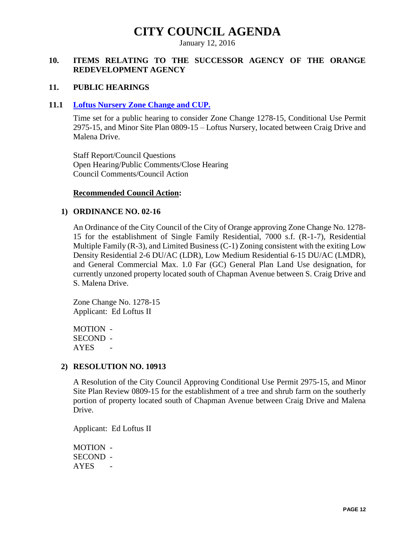January 12, 2016

#### **10. ITEMS RELATING TO THE SUCCESSOR AGENCY OF THE ORANGE REDEVELOPMENT AGENCY**

#### **11. PUBLIC HEARINGS**

#### **11.1 [Loftus Nursery Zone Change and CUP.](http://citydocs.cityoforange.org/WebLink8/DocView.aspx?id=243680215&dbid=0)**

Time set for a public hearing to consider Zone Change 1278-15, Conditional Use Permit 2975-15, and Minor Site Plan 0809-15 – Loftus Nursery, located between Craig Drive and Malena Drive.

Staff Report/Council Questions Open Hearing/Public Comments/Close Hearing Council Comments/Council Action

#### **Recommended Council Action:**

#### **1) ORDINANCE NO. 02-16**

An Ordinance of the City Council of the City of Orange approving Zone Change No. 1278- 15 for the establishment of Single Family Residential, 7000 s.f. (R-1-7), Residential Multiple Family (R-3), and Limited Business (C-1) Zoning consistent with the exiting Low Density Residential 2-6 DU/AC (LDR), Low Medium Residential 6-15 DU/AC (LMDR), and General Commercial Max. 1.0 Far (GC) General Plan Land Use designation, for currently unzoned property located south of Chapman Avenue between S. Craig Drive and S. Malena Drive.

Zone Change No. 1278-15 Applicant: Ed Loftus II

MOTION - SECOND - AYES -

#### **2) RESOLUTION NO. 10913**

A Resolution of the City Council Approving Conditional Use Permit 2975-15, and Minor Site Plan Review 0809-15 for the establishment of a tree and shrub farm on the southerly portion of property located south of Chapman Avenue between Craig Drive and Malena Drive.

Applicant: Ed Loftus II

MOTION - SECOND - AYES -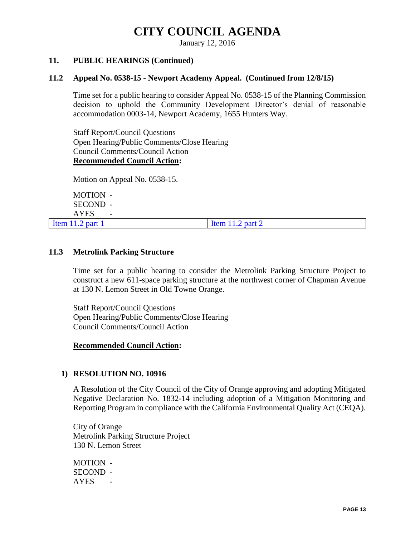January 12, 2016

#### **11. PUBLIC HEARINGS (Continued)**

#### **11.2 Appeal No. 0538-15 - Newport Academy Appeal. (Continued from 12/8/15)**

Time set for a public hearing to consider Appeal No. 0538-15 of the Planning Commission decision to uphold the Community Development Director's denial of reasonable accommodation 0003-14, Newport Academy, 1655 Hunters Way.

Staff Report/Council Questions Open Hearing/Public Comments/Close Hearing Council Comments/Council Action **Recommended Council Action:**

Motion on Appeal No. 0538-15.

MOTION - SECOND - AYES -

 $\text{Item } 11.2 \text{ part } 1$  [Item 11.2 part 2](http://citydocs.cityoforange.org/WebLink8/DocView.aspx?id=243680229&dbid=0)

#### **11.3 Metrolink Parking Structure**

Time set for a public hearing to consider the Metrolink Parking Structure Project to construct a new 611-space parking structure at the northwest corner of Chapman Avenue at 130 N. Lemon Street in Old Towne Orange.

Staff Report/Council Questions Open Hearing/Public Comments/Close Hearing Council Comments/Council Action

#### **Recommended Council Action:**

#### **1) RESOLUTION NO. 10916**

A Resolution of the City Council of the City of Orange approving and adopting Mitigated Negative Declaration No. 1832-14 including adoption of a Mitigation Monitoring and Reporting Program in compliance with the California Environmental Quality Act (CEQA).

City of Orange Metrolink Parking Structure Project 130 N. Lemon Street

MOTION - SECOND - AYES -